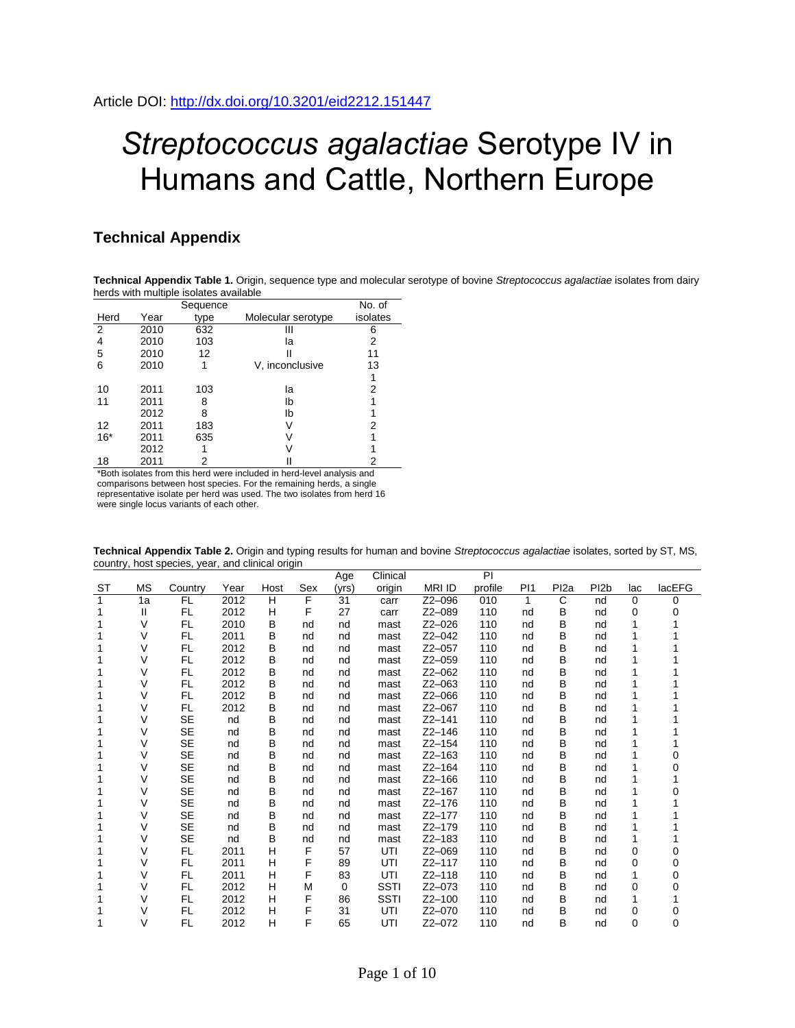## *Streptococcus agalactiae* Serotype IV in Humans and Cattle, Northern Europe

## **Technical Appendix**

**Technical Appendix Table 1.** Origin, sequence type and molecular serotype of bovine *Streptococcus agalactiae* isolates from dairy herds with multiple isolates available

|       |      | Sequence |                    | No. of   |
|-------|------|----------|--------------------|----------|
| Herd  | Year | type     | Molecular serotype | isolates |
| 2     | 2010 | 632      | Ш                  | 6        |
| 4     | 2010 | 103      | la                 | 2        |
| 5     | 2010 | 12       |                    | 11       |
| 6     | 2010 |          | V, inconclusive    | 13       |
|       |      |          |                    |          |
| 10    | 2011 | 103      | la                 | 2        |
| 11    | 2011 | 8        | lb                 |          |
|       | 2012 | 8        | lb                 |          |
| 12    | 2011 | 183      |                    | 2        |
| $16*$ | 2011 | 635      |                    |          |
|       | 2012 |          |                    |          |
| 18    | 2011 | 2        |                    | 2        |

\*Both isolates from this herd were included in herd-level analysis and comparisons between host species. For the remaining herds, a single representative isolate per herd was used. The two isolates from herd 16 were single locus variants of each other.

|    |           |           |      |      |     | Age      | Clinical    |               | PI      |                 |                  |                   |     |          |
|----|-----------|-----------|------|------|-----|----------|-------------|---------------|---------|-----------------|------------------|-------------------|-----|----------|
| ST | <b>MS</b> | Country   | Year | Host | Sex | (yrs)    | origin      | <b>MRI ID</b> | profile | P <sub>11</sub> | Pl <sub>2a</sub> | PI <sub>2</sub> b | lac | lacEFG   |
| 1  | 1a        | FL        | 2012 | H    | F   | 31       | carr        | Z2-096        | 010     | 1               | C                | nd                | 0   | $\Omega$ |
| 1  | Ш         | FL        | 2012 | Н    | F   | 27       | carr        | Z2-089        | 110     | nd              | в                | nd                | 0   |          |
|    | V         | <b>FL</b> | 2010 | B    | nd  | nd       | mast        | $Z2-026$      | 110     | nd              | B                | nd                |     |          |
|    | V         | FL        | 2011 | B    | nd  | nd       | mast        | $Z2 - 042$    | 110     | nd              | B                | nd                |     |          |
|    | $\vee$    | FL        | 2012 | B    | nd  | nd       | mast        | $Z2 - 057$    | 110     | nd              | B                | nd                |     |          |
|    | V         | FL.       | 2012 | B    | nd  | nd       | mast        | $Z2 - 059$    | 110     | nd              | B                | nd                |     |          |
|    | V         | FL        | 2012 | B    | nd  | nd       | mast        | $Z2 - 062$    | 110     | nd              | B                | nd                |     |          |
|    | V         | FL        | 2012 | B    | nd  | nd       | mast        | $Z2-063$      | 110     | nd              | B                | nd                |     |          |
|    | V         | <b>FL</b> | 2012 | B    | nd  | nd       | mast        | $Z2-066$      | 110     | nd              | B                | nd                |     |          |
|    | V         | FL.       | 2012 | B    | nd  | nd       | mast        | $Z2 - 067$    | 110     | nd              | B                | nd                |     |          |
| 1  | V         | <b>SE</b> | nd   | B    | nd  | nd       | mast        | $Z2 - 141$    | 110     | nd              | в                | nd                |     |          |
| 1  | V         | <b>SE</b> | nd   | B    | nd  | nd       | mast        | $Z2 - 146$    | 110     | nd              | B                | nd                |     |          |
|    | V         | <b>SE</b> | nd   | B    | nd  | nd       | mast        | $Z2 - 154$    | 110     | nd              | В                | nd                |     |          |
|    | ٧         | <b>SE</b> | nd   | B    | nd  | nd       | mast        | $Z2 - 163$    | 110     | nd              | B                | nd                |     | 0        |
| 1  | V         | <b>SE</b> | nd   | B    | nd  | nd       | mast        | $Z2 - 164$    | 110     | nd              | в                | nd                |     | 0        |
|    | V         | <b>SE</b> | nd   | B    | nd  | nd       | mast        | $Z$ 2-166     | 110     | nd              | B                | nd                |     |          |
|    | V         | <b>SE</b> | nd   | B    | nd  | nd       | mast        | $Z2 - 167$    | 110     | nd              | B                | nd                |     |          |
|    | V         | <b>SE</b> | nd   | B    | nd  | nd       | mast        | $Z2 - 176$    | 110     | nd              | B                | nd                |     |          |
|    | V         | <b>SE</b> | nd   | B    | nd  | nd       | mast        | Z2-177        | 110     | nd              | в                | nd                |     |          |
|    | ٧         | <b>SE</b> | nd   | B    | nd  | nd       | mast        | Z2-179        | 110     | nd              | B                | nd                |     |          |
|    | V         | <b>SE</b> | nd   | B    | nd  | nd       | mast        | $Z2 - 183$    | 110     | nd              | B                | nd                |     |          |
|    | V         | FL        | 2011 | H    | F   | 57       | UTI         | $Z2 - 069$    | 110     | nd              | B                | nd                | 0   |          |
| 1  | V         | FL.       | 2011 | H    | F   | 89       | UTI         | Z2-117        | 110     | nd              | в                | nd                | 0   | 0        |
|    | ٧         | FL        | 2011 | Н    | F   | 83       | UTI         | $Z2 - 118$    | 110     | nd              | В                | nd                |     | $\Omega$ |
| 1  | V         | <b>FL</b> | 2012 | н    | M   | $\Omega$ | <b>SSTI</b> | $Z2 - 073$    | 110     | nd              | B                | nd                | 0   | O        |
|    | V         | <b>FL</b> | 2012 | н    | F   | 86       | <b>SSTI</b> | $Z2 - 100$    | 110     | nd              | B                | nd                |     |          |
| 1  | V         | FL        | 2012 | н    | F   | 31       | UTI         | Z2-070        | 110     | nd              | в                | nd                | 0   |          |
|    | V         | <b>FL</b> | 2012 | н    | F   | 65       | UTI         | $Z2 - 072$    | 110     | nd              | B                | nd                | 0   | 0        |

**Technical Appendix Table 2.** Origin and typing results for human and bovine *Streptococcus agalactiae* isolates, sorted by ST, MS, country, host species, year, and clinical origin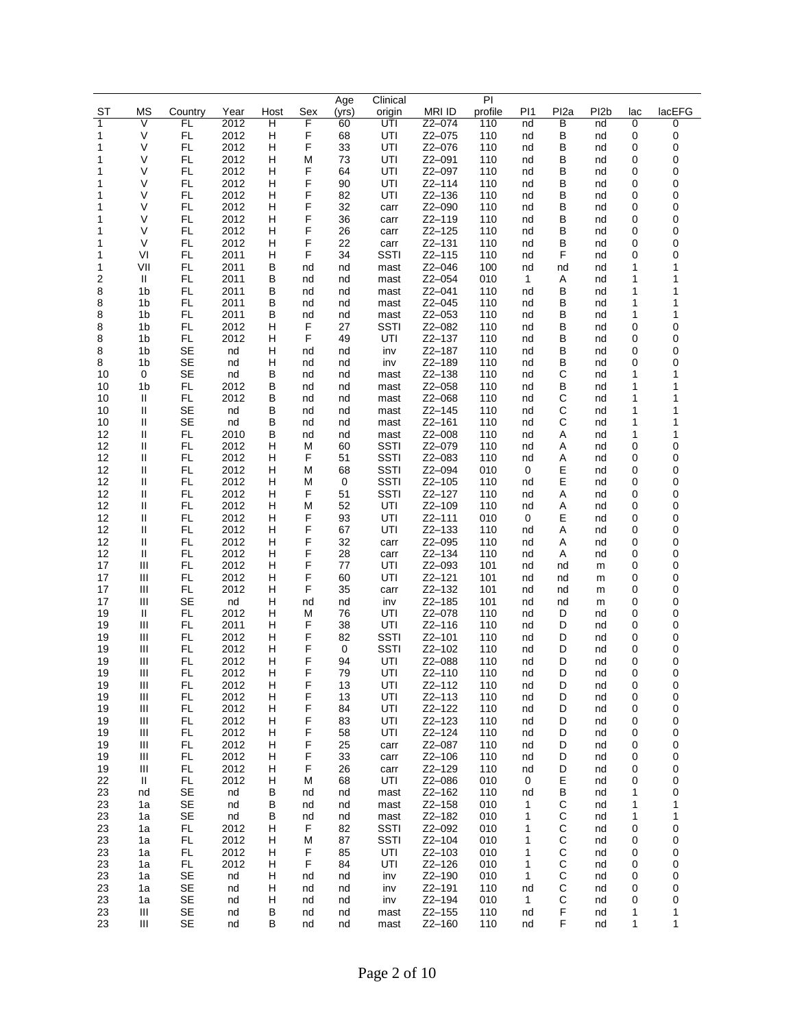|           |                              |                        |              |        |          | Age      | Clinical                   |                      | PI         |                   |                     |                   |        |                   |
|-----------|------------------------------|------------------------|--------------|--------|----------|----------|----------------------------|----------------------|------------|-------------------|---------------------|-------------------|--------|-------------------|
| <b>ST</b> | <b>MS</b>                    | Country                | Year         | Host   | Sex      | (yrs)    | origin                     | <b>MRIID</b>         | profile    | P <sub>1</sub>    | Pl <sub>2a</sub>    | PI <sub>2</sub> b | lac    | lacEFG            |
| 1         | $\overline{\mathsf{V}}$<br>V | FL<br>FL               | 2012<br>2012 | Ή<br>н | F<br>F   | 60<br>68 | UTI<br>UTI                 | $Z2 - 074$<br>Z2-075 | 110<br>110 | nd<br>nd          | $\overline{B}$<br>B | nd                | 0<br>0 | 0<br>0            |
| 1<br>1    | V                            | FL                     | 2012         | н      | F        | 33       | UTI                        | Z2-076               | 110        | nd                | в                   | nd<br>nd          | 0      | 0                 |
| 1         | V                            | FL                     | 2012         | н      | M        | 73       | UTI                        | Z2-091               | 110        | nd                | в                   | nd                | 0      | 0                 |
| 1         | V                            | FL                     | 2012         | Н      | F        | 64       | UTI                        | Z2-097               | 110        | nd                | в                   | nd                | 0      | 0                 |
| 1         | V                            | <b>FL</b>              | 2012         | н      | F        | 90       | UTI                        | $Z2 - 114$           | 110        | nd                | B                   | nd                | 0      | 0                 |
| 1         | V                            | FL                     | 2012         | н      | F        | 82       | UTI                        | Z2-136               | 110        | nd                | в                   | nd                | 0      | 0                 |
| 1         | V                            | FL.                    | 2012         | н      | F        | 32       | carr                       | Z2-090               | 110        | nd                | в                   | nd                | 0      | 0                 |
| 1         | V                            | FL                     | 2012         | н      | F        | 36       | carr                       | Z2-119               | 110        | nd                | в                   | nd                | 0      | 0                 |
| 1         | V                            | $\mathsf{FL}$          | 2012         | н      | F        | 26       | carr                       | $Z2 - 125$           | 110        | nd                | в                   | nd                | 0      | 0                 |
| 1         | V                            | FL                     | 2012         | н      | F<br>F   | 22<br>34 | carr                       | $Z2 - 131$           | 110        | nd                | в<br>F              | nd                | 0      | 0                 |
| 1<br>1    | VI<br>VII                    | FL<br>FL               | 2011<br>2011 | н<br>В | nd       | nd       | <b>SSTI</b><br>mast        | $Z2 - 115$<br>Z2-046 | 110<br>100 | nd<br>nd          | nd                  | nd<br>nd          | 0<br>1 | 0<br>$\mathbf{1}$ |
| 2         | $\, \parallel$               | <b>FL</b>              | 2011         | В      | nd       | nd       | mast                       | Z2-054               | 010        | $\mathbf{1}$      | Α                   | nd                | 1      | 1                 |
| 8         | 1 <sub>b</sub>               | <b>FL</b>              | 2011         | В      | nd       | nd       | mast                       | Z2-041               | 110        | nd                | в                   | nd                | 1      | 1                 |
| 8         | 1 <sub>b</sub>               | FL                     | 2011         | В      | nd       | nd       | mast                       | Z2-045               | 110        | nd                | в                   | nd                | 1      | 1                 |
| 8         | 1b                           | FL                     | 2011         | В      | nd       | nd       | mast                       | Z2-053               | 110        | nd                | в                   | nd                | 1      | 1                 |
| 8         | 1 <sub>b</sub>               | FL                     | 2012         | н      | F        | 27       | <b>SSTI</b>                | Z2-082               | 110        | nd                | в                   | nd                | 0      | 0                 |
| 8         | 1 <sub>b</sub>               | FL                     | 2012         | н      | F        | 49       | UTI                        | $Z2 - 137$           | 110        | nd                | в                   | nd                | 0      | 0                 |
| 8         | 1 <sub>b</sub>               | <b>SE</b><br><b>SE</b> | nd           | Н      | nd       | nd       | inv                        | Z2-187               | 110        | nd                | в<br>B              | nd                | 0      | 0<br>0            |
| 8<br>10   | 1 <sub>b</sub><br>$\pmb{0}$  | SE                     | nd<br>nd     | Н<br>В | nd<br>nd | nd<br>nd | inv<br>mast                | Z2-189<br>Z2-138     | 110<br>110 | nd<br>nd          | C                   | nd<br>nd          | 0<br>1 | $\mathbf{1}$      |
| 10        | 1 <sub>b</sub>               | FL                     | 2012         | B      | nd       | nd       | mast                       | $Z2 - 058$           | 110        | nd                | в                   | nd                | 1      | 1                 |
| 10        | Ш                            | <b>FL</b>              | 2012         | В      | nd       | nd       | mast                       | Z2-068               | 110        | nd                | С                   | nd                | 1      | 1                 |
| 10        | Ш                            | SE                     | nd           | B      | nd       | nd       | mast                       | $Z2 - 145$           | 110        | nd                | C                   | nd                | 1      | $\mathbf{1}$      |
| 10        | Ш                            | SE                     | nd           | В      | nd       | nd       | mast                       | $Z2 - 161$           | 110        | nd                | С                   | nd                | 1      | 1                 |
| 12        | Ш                            | FL                     | 2010         | B      | nd       | nd       | mast                       | Z2-008               | 110        | nd                | Α                   | nd                | 1      | 1                 |
| 12        | Ш                            | FL                     | 2012         | н      | M        | 60       | <b>SSTI</b>                | Z2-079               | 110        | nd                | Α                   | nd                | 0      | 0                 |
| 12        | Ш<br>Ш                       | <b>FL</b><br><b>FL</b> | 2012<br>2012 | Н<br>н | F        | 51<br>68 | <b>SSTI</b><br><b>SSTI</b> | Z2-083<br>Z2-094     | 110<br>010 | nd<br>0           | Α<br>Ε              | nd                | 0      | 0<br>0            |
| 12<br>12  | Ш                            | FL                     | 2012         | н      | M<br>M   | 0        | <b>SSTI</b>                | Z2-105               | 110        | nd                | Е                   | nd<br>nd          | 0<br>0 | 0                 |
| 12        | Ш                            | <b>FL</b>              | 2012         | н      | F        | 51       | <b>SSTI</b>                | $Z2 - 127$           | 110        | nd                | Α                   | nd                | 0      | 0                 |
| 12        | Ш                            | FL                     | 2012         | н      | M        | 52       | UTI                        | Z2-109               | 110        | nd                | Α                   | nd                | 0      | 0                 |
| 12        | Ш                            | FL                     | 2012         | н      | F        | 93       | UTI                        | $Z2 - 111$           | 010        | 0                 | Е                   | nd                | 0      | 0                 |
| 12        | Ш                            | FL                     | 2012         | Н      | F        | 67       | UTI                        | Z2-133               | 110        | nd                | A                   | nd                | 0      | 0                 |
| 12        | Ш                            | <b>FL</b>              | 2012         | н      | F        | 32       | carr                       | Z2-095               | 110        | nd                | Α                   | nd                | 0      | 0                 |
| 12        | Ш<br>Ш                       | FL<br>FL.              | 2012<br>2012 | н      | F<br>F   | 28<br>77 | carr                       | Z2-134<br>Z2-093     | 110        | nd                | Α                   | nd                | 0      | 0<br>0            |
| 17<br>17  | Ш                            | FL                     | 2012         | н<br>н | F        | 60       | UTI<br>UTI                 | $Z2 - 121$           | 101<br>101 | nd<br>nd          | nd<br>nd            | m<br>m            | 0<br>0 | 0                 |
| 17        | Ш                            | <b>FL</b>              | 2012         | н      | F        | 35       | carr                       | Z2-132               | 101        | nd                | nd                  | m                 | 0      | 0                 |
| 17        | Ш                            | <b>SE</b>              | nd           | н      | nd       | nd       | inv                        | Z2-185               | 101        | nd                | nd                  | m                 | 0      | 0                 |
| 19        | Ш                            | FL                     | 2012         | н      | M        | 76       | UTI                        | Z2-078               | 110        | nd                | D                   | nd                | 0      | 0                 |
| 19        | Ш                            | FL                     | 2011         | н      | F        | 38       | UTI                        | Z2-116               | 110        | nd                | D                   | nd                | 0      | 0                 |
| 19        | Ш                            | <b>FL</b>              | 2012         | н      | F        | 82       | <b>SSTI</b>                | Z2-101               | 110        | nd                | D                   | nd                | 0      | 0                 |
| 19        | Ш                            | <b>FL</b>              | 2012         | н      | F        | 0        | <b>SSTI</b>                | Z2-102               | 110        | nd                | D                   | nd                | 0      | 0                 |
| 19<br>19  | Ш<br>Ш                       | FL<br>FL               | 2012<br>2012 | н<br>н | F<br>F   | 94<br>79 | UTI<br>UTI                 | Z2-088<br>Z2-110     | 110<br>110 | nd<br>nd          | D<br>D              | nd<br>nd          | 0<br>0 | 0<br>0            |
| 19        | Ш                            | FL                     | 2012         | н      | F        | 13       | UTI                        | Z2-112               | 110        | nd                | D                   | nd                | 0      | 0                 |
| 19        | Ш                            | FL                     | 2012         | н      | F        | 13       | UTI                        | $Z2 - 113$           | 110        | nd                | D                   | nd                | 0      | 0                 |
| 19        | Ш                            | FL.                    | 2012         | н      | F        | 84       | UTI                        | $Z2 - 122$           | 110        | nd                | D                   | nd                | 0      | 0                 |
| 19        | Ш                            | FL                     | 2012         | н      | F        | 83       | UTI                        | $Z2 - 123$           | 110        | nd                | D                   | nd                | 0      | 0                 |
| 19        | Ш                            | FL                     | 2012         | н      | F        | 58       | UTI                        | Z2-124               | 110        | nd                | D                   | nd                | 0      | 0                 |
| 19        | Ш                            | FL.                    | 2012         | н      | F        | 25       | carr                       | Z2-087               | 110        | nd                | D                   | nd                | 0      | 0                 |
| 19<br>19  | Ш<br>Ш                       | FL.<br>FL.             | 2012<br>2012 | н<br>н | F<br>F   | 33<br>26 | carr                       | $Z2 - 106$<br>Z2-129 | 110<br>110 | nd                | D                   | nd                | 0      | 0<br>0            |
| 22        | Ш                            | FL.                    | 2012         | н      | М        | 68       | carr<br>UTI                | Z2-086               | 010        | nd<br>0           | D<br>Ε              | nd<br>nd          | 0<br>0 | 0                 |
| 23        | nd                           | SE                     | nd           | В      | nd       | nd       | mast                       | Z2-162               | 110        | nd                | в                   | nd                | 1      | 0                 |
| 23        | 1a                           | SE                     | nd           | В      | nd       | nd       | mast                       | Z2-158               | 010        | 1                 | С                   | nd                | 1      | 1                 |
| 23        | 1a                           | SE                     | nd           | В      | nd       | nd       | mast                       | Z2-182               | 010        | 1                 | C                   | nd                | 1      | 1                 |
| 23        | 1a                           | FL.                    | 2012         | H      | F        | 82       | <b>SSTI</b>                | Z2-092               | 010        | 1                 | С                   | nd                | 0      | 0                 |
| 23        | 1a                           | FL.                    | 2012         | н      | M        | 87       | <b>SSTI</b>                | Z2-104               | 010        | 1                 | C                   | nd                | 0      | 0                 |
| 23        | 1a                           | FL                     | 2012         | н      | F        | 85       | UTI                        | $Z2 - 103$           | 010        | 1                 | С                   | nd                | 0      | 0                 |
| 23<br>23  | 1a                           | FL.<br>SE              | 2012<br>nd   | н<br>н | F        | 84       | UTI                        | Z2-126<br>Z2-190     | 010<br>010 | 1<br>$\mathbf{1}$ | C<br>C              | nd                | 0<br>0 | 0<br>0            |
| 23        | 1a<br>1a                     | SE                     | nd           | н      | nd<br>nd | nd<br>nd | inv<br>inv                 | Z2-191               | 110        | nd                | C                   | nd<br>nd          | 0      | 0                 |
| 23        | 1a                           | SE                     | nd           | н      | nd       | nd       | inv                        | Z2-194               | 010        | $\mathbf{1}$      | C                   | nd                | 0      | 0                 |
| 23        | Ш                            | SE                     | nd           | В      | nd       | nd       | mast                       | $Z2 - 155$           | 110        | nd                | F                   | nd                | 1      | 1                 |
| 23        | Ш                            | SE                     | nd           | В      | nd       | nd       | mast                       | Z2-160               | 110        | nd                | F                   | nd                | 1      | 1                 |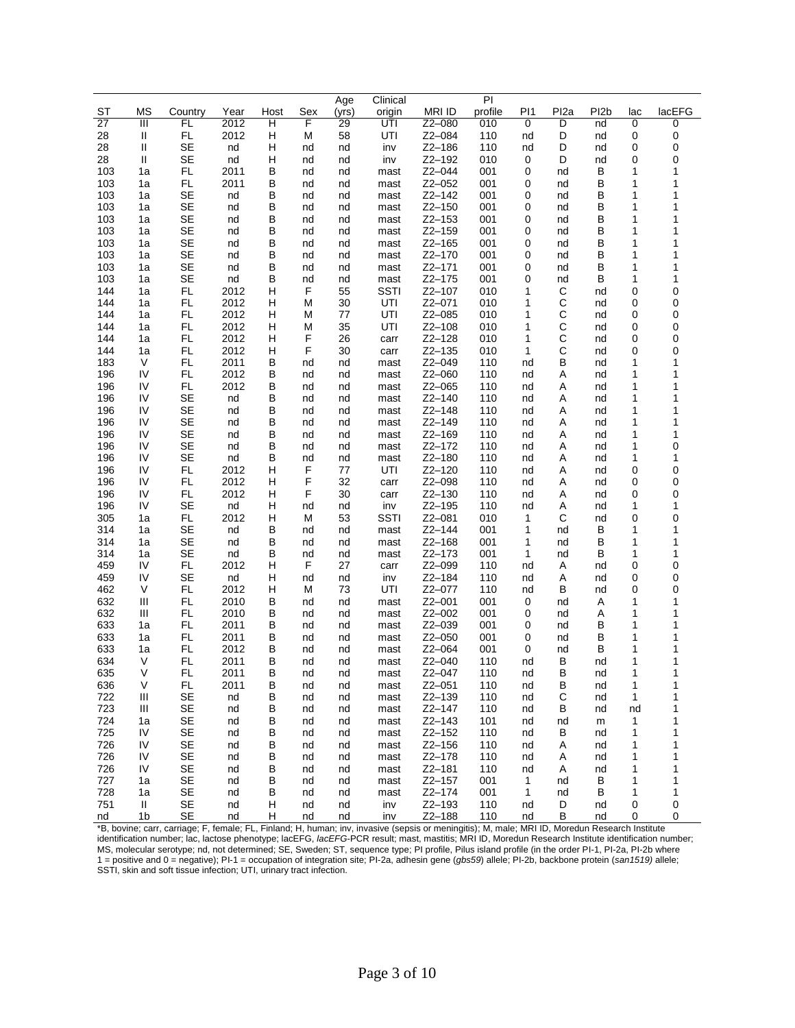|                 |                |           |              |        |          | Age      | Clinical     |                  | PI         |                |                  |                   |        |              |
|-----------------|----------------|-----------|--------------|--------|----------|----------|--------------|------------------|------------|----------------|------------------|-------------------|--------|--------------|
| ST              | ΜS             | Country   | Year         | Host   | Sex      | (yrs)    | origin       | <b>MRI ID</b>    | profile    | P <sub>1</sub> | Pl <sub>2a</sub> | PI <sub>2</sub> b | lac    | lacEFG       |
| $\overline{27}$ | Ш              | FL        | 2012         | н      | F        | 29       | UTI          | $Z2 - 080$       | 010        | 0              | D                | nd                | 0      | 0            |
| 28              | Ш              | <b>FL</b> | 2012         | н      | M        | 58       | UTI          | Z2-084           | 110        | nd             | D                | nd                | 0      | 0            |
| 28              | Ш              | SE        | nd           | н      | nd       | nd       | inv          | Z2-186           | 110        | nd             | D                | nd                | 0      | 0            |
| 28              | Ш              | SE        | nd           | н      | nd       | nd       | inv          | Z2-192           | 010        | 0              | D                | nd                | 0      | 0            |
| 103             | 1a             | FL.       | 2011         | В      | nd       | nd       | mast         | $Z2 - 044$       | 001        | 0              | nd               | В                 | 1      | 1<br>1       |
| 103             | 1a             | FL.<br>SE | 2011         | B<br>В | nd       | nd       | mast         | Z2-052<br>Z2-142 | 001        | 0<br>0         | nd<br>nd         | В<br>В            | 1<br>1 | 1            |
| 103<br>103      | 1a<br>1a       | SE        | nd<br>nd     | B      | nd<br>nd | nd<br>nd | mast<br>mast | Z2-150           | 001<br>001 | 0              | nd               | В                 | 1      | 1            |
| 103             | 1a             | <b>SE</b> | nd           | В      | nd       | nd       | mast         | Z2-153           | 001        | 0              | nd               | В                 | 1      | 1            |
| 103             | 1a             | SE        | nd           | B      | nd       | nd       | mast         | $Z2 - 159$       | 001        | 0              | nd               | В                 | 1      | 1            |
| 103             | 1a             | SE        | nd           | В      | nd       | nd       | mast         | Z2-165           | 001        | 0              | nd               | В                 | 1      | 1            |
| 103             | 1a             | SE        | nd           | B      | nd       | nd       | mast         | $Z2 - 170$       | 001        | 0              | nd               | В                 | 1      | 1            |
| 103             | 1a             | SE        | nd           | В      | nd       | nd       | mast         | Z2-171           | 001        | 0              | nd               | В                 | 1      | 1            |
| 103             | 1a             | SE        | nd           | B      | nd       | nd       | mast         | Z2-175           | 001        | 0              | nd               | В                 | 1      | 1            |
| 144             | 1a             | FL.       | 2012         | н      | F        | 55       | <b>SSTI</b>  | Z2-107           | 010        | 1              | С                | nd                | 0      | 0            |
| 144             | 1a             | FL.       | 2012         | н      | M        | 30       | UTI          | Z2-071           | 010        | 1              | C                | nd                | 0      | 0            |
| 144             | 1a             | <b>FL</b> | 2012         | н      | M        | 77       | UTI          | Z2-085           | 010        | 1              | C                | nd                | 0      | 0            |
| 144             | 1a             | FL        | 2012         | н      | M        | 35       | UTI          | Z2-108           | 010        | 1              | C                | nd                | 0      | 0            |
| 144             | 1a             | FL        | 2012         | н      | F        | 26       | carr         | Z2-128           | 010        | 1              | C                | nd                | 0      | 0            |
| 144             | 1a             | FL.       | 2012         | н      | F        | 30       | carr         | Z2-135           | 010        | 1              | C                | nd                | 0      | 0            |
| 183             | V              | FL.       | 2011         | В      | nd       | nd       | mast         | Z2-049           | 110        | nd             | B                | nd                | 1      | 1            |
| 196             | IV             | FL        | 2012         | В      | nd       | nd       | mast         | $Z2-060$         | 110        | nd             | Α                | nd                | 1      | 1            |
| 196             | IV             | <b>FL</b> | 2012         | B      | nd       | nd       | mast         | Z2-065           | 110        | nd             | Α                | nd                | 1      | 1            |
| 196             | IV             | <b>SE</b> | nd           | В      | nd       | nd       | mast         | Z2-140           | 110        | nd             | Α                | nd                | 1      | 1            |
| 196             | IV<br>IV       | SE<br>SE  | nd           | B<br>в | nd       | nd       | mast         | Z2-148<br>Z2-149 | 110        | nd             | Α<br>Α           | nd                | 1<br>1 | 1<br>1       |
| 196<br>196      | IV             | <b>SE</b> | nd<br>nd     | В      | nd<br>nd | nd<br>nd | mast<br>mast | Z2-169           | 110<br>110 | nd<br>nd       | Α                | nd<br>nd          | 1      | 1            |
| 196             | IV             | SE        | nd           | В      | nd       | nd       | mast         | Z2-172           | 110        | nd             | Α                | nd                | 1      | 0            |
| 196             | IV             | <b>SE</b> | nd           | В      | nd       | nd       | mast         | Z2-180           | 110        | nd             | Α                | nd                | 1      | 1            |
| 196             | IV             | <b>FL</b> | 2012         | н      | F        | 77       | UTI          | Z2-120           | 110        | nd             | Α                | nd                | 0      | 0            |
| 196             | IV             | FL.       | 2012         | н      | F        | 32       | carr         | Z2-098           | 110        | nd             | Α                | nd                | 0      | 0            |
| 196             | IV             | FL.       | 2012         | н      | F        | 30       | carr         | Z2-130           | 110        | nd             | Α                | nd                | 0      | 0            |
| 196             | IV             | SE        | nd           | н      | nd       | nd       | inv          | Z2-195           | 110        | nd             | Α                | nd                | 1      | $\mathbf{1}$ |
| 305             | 1a             | <b>FL</b> | 2012         | н      | M        | 53       | <b>SSTI</b>  | Z2-081           | 010        | 1              | C                | nd                | 0      | 0            |
| 314             | 1a             | SE        | nd           | В      | nd       | nd       | mast         | Z2-144           | 001        | 1              | nd               | В                 | 1      | 1            |
| 314             | 1a             | SE        | nd           | В      | nd       | nd       | mast         | Z2-168           | 001        | 1              | nd               | В                 | 1      | 1            |
| 314             | 1a             | SE        | nd           | В      | nd       | nd       | mast         | Z2-173           | 001        | 1              | nd               | В                 | 1      | 1            |
| 459             | IV             | <b>FL</b> | 2012         | н      | F        | 27       | carr         | Z2-099           | 110        | nd             | Α                | nd                | 0      | 0            |
| 459             | IV             | SE        | nd           | н      | nd       | nd       | inv          | Z2-184           | 110        | nd             | Α                | nd                | 0      | 0            |
| 462             | V              | FL.       | 2012         | н      | M        | 73       | UTI          | Z2-077           | 110        | nd             | в                | nd                | 0      | 0            |
| 632             | Ш              | FL        | 2010         | B      | nd       | nd       | mast         | Z2-001           | 001        | 0              | nd               | Α                 | 1      | 1            |
| 632<br>633      | Ш              | FL<br>FL. | 2010<br>2011 | В      | nd       | nd       | mast         | Z2-002<br>Z2-039 | 001        | 0              | nd               | Α                 | 1      | 1<br>1       |
| 633             | 1a<br>1a       | FL.       | 2011         | В<br>В | nd       | nd       | mast         | Z2-050           | 001<br>001 | 0<br>0         | nd<br>nd         | В<br>В            | 1<br>1 | 1            |
| 633             | 1a             | <b>FL</b> | 2012         | В      | nd<br>nd | nd<br>nd | mast<br>mast | Z2-064           | 001        | 0              | nd               | В                 | 1      | 1            |
| 634             | V              | FL.       | 2011         | В      | nd       | nd       | mast         | $Z2 - 040$       | 110        | nd             | В                | nd                | 1      | 1            |
| 635             | $\vee$         | <b>FL</b> | 2011         | B      | nd       | nd       | mast         | Z2-047           | 110        | nd             | B                | nd                | 1      | 1            |
| 636             | V              | FL.       | 2011         | B      | nd       | nd       | mast         | Z2-051           | 110        | nd             | B                | nd                | 1      | 1            |
| 722             | Ш              | SE        | nd           | B      | nd       | nd       | mast         | $Z2 - 139$       | 110        | nd             | C                | nd                | 1      | 1            |
| 723             | Ш              | <b>SE</b> | nd           | В      | nd       | nd       | mast         | Z2-147           | 110        | nd             | В                | nd                | nd     | 1            |
| 724             | 1a             | SE        | nd           | в      | nd       | nd       | mast         | $Z2 - 143$       | 101        | nd             | nd               | m                 | 1      | 1            |
| 725             | IV             | <b>SE</b> | nd           | в      | nd       | nd       | mast         | $Z2 - 152$       | 110        | nd             | В                | nd                | 1      | 1            |
| 726             | IV             | SE        | nd           | B      | nd       | nd       | mast         | Z2-156           | 110        | nd             | Α                | nd                | 1      | 1            |
| 726             | IV             | SE        | nd           | в      | nd       | nd       | mast         | Z2-178           | 110        | nd             | A                | nd                | 1      | 1            |
| 726             | IV             | SE        | nd           | B      | nd       | nd       | mast         | Z2-181           | 110        | nd             | Α                | nd                | 1      | 1            |
| 727             | 1a             | <b>SE</b> | nd           | В      | nd       | nd       | mast         | $Z2 - 157$       | 001        | 1              | nd               | В                 | 1      | 1            |
| 728             | 1a             | SE        | nd           | В      | nd       | nd       | mast         | Z2-174           | 001        | $\mathbf{1}$   | nd               | В                 | 1      | 1            |
| 751             | Ш.             | SE        | nd           | H      | nd       | nd       | inv          | Z2-193           | 110        | nd             | D                | nd                | 0      | 0            |
| nd              | 1 <sub>b</sub> | SE        | nd           | H      | nd       | nd       | inv          | Z2-188           | 110        | nd             | В                | nd                | 0      | 0            |

\*B, bovine; carr, carriage; F, female; FL, Finland; H, human; inv, invasive (sepsis or meningitis); M, male; MRI ID, Moredun Research Institute identification number; lac, lactose phenotype; lacEFG, *lacEFG*-PCR result; mast, mastitis; MRI ID, Moredun Research Institute identification number; MS, molecular serotype; nd, not determined; SE, Sweden; ST, sequence type; PI profile, Pilus island profile (in the order PI-1, PI-2a, PI-2b where = positive and 0 = negative); PI-1 = occupation of integration site; PI-2a, adhesin gene (*gbs59*) allele; PI-2b, backbone protein (*san1519)* allele; SSTI, skin and soft tissue infection; UTI, urinary tract infection.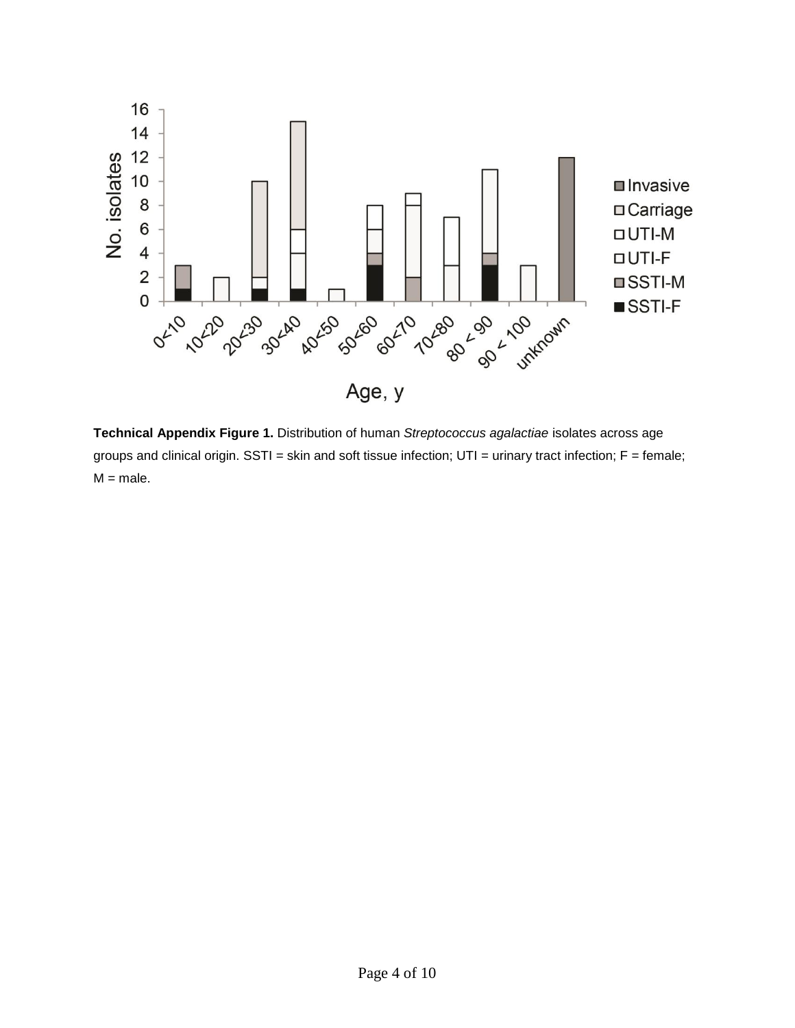

**Technical Appendix Figure 1.** Distribution of human *Streptococcus agalactiae* isolates across age groups and clinical origin. SSTI = skin and soft tissue infection; UTI = urinary tract infection; F = female;  $M = male$ .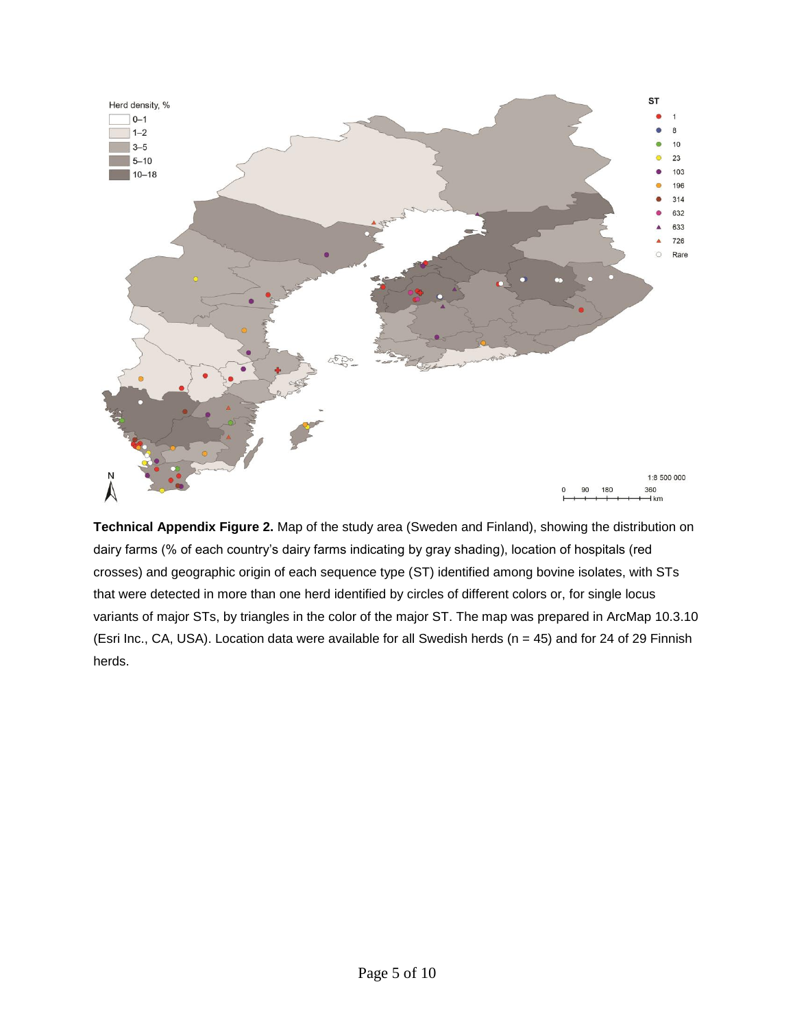

**Technical Appendix Figure 2.** Map of the study area (Sweden and Finland), showing the distribution on dairy farms (% of each country's dairy farms indicating by gray shading), location of hospitals (red crosses) and geographic origin of each sequence type (ST) identified among bovine isolates, with STs that were detected in more than one herd identified by circles of different colors or, for single locus variants of major STs, by triangles in the color of the major ST. The map was prepared in ArcMap 10.3.10 (Esri Inc., CA, USA). Location data were available for all Swedish herds ( $n = 45$ ) and for 24 of 29 Finnish herds.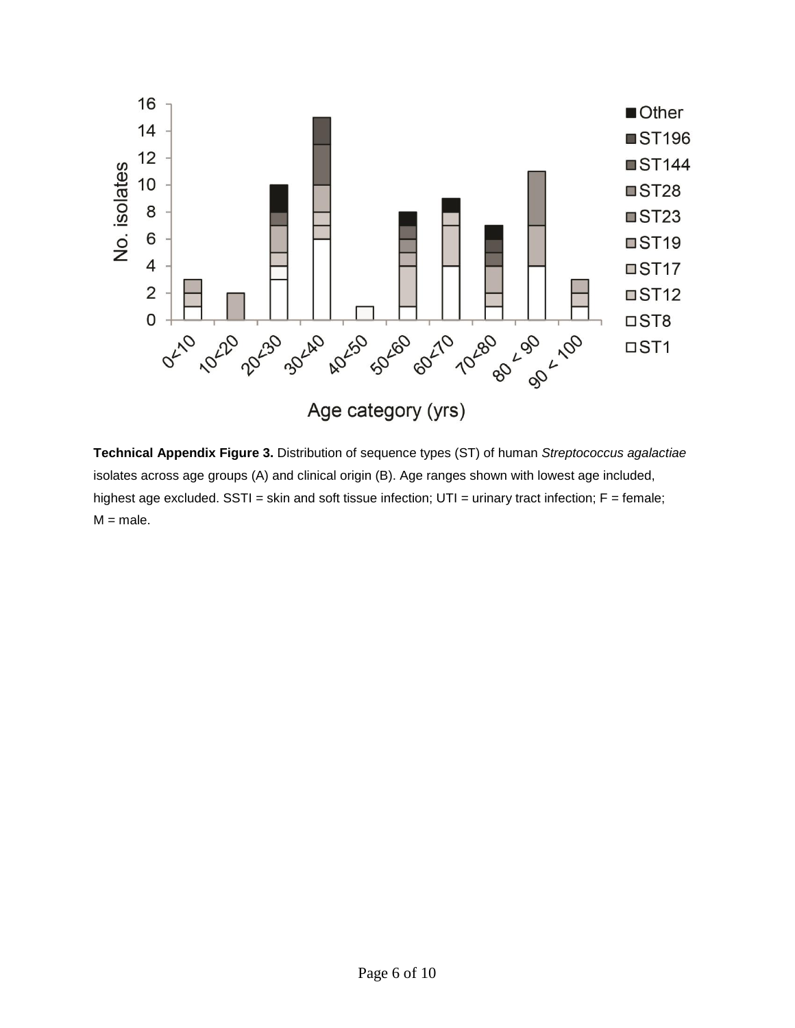

**Technical Appendix Figure 3.** Distribution of sequence types (ST) of human *Streptococcus agalactiae* isolates across age groups (A) and clinical origin (B). Age ranges shown with lowest age included, highest age excluded. SSTI = skin and soft tissue infection;  $UTI =$  urinary tract infection;  $F =$  female;  $M = male$ .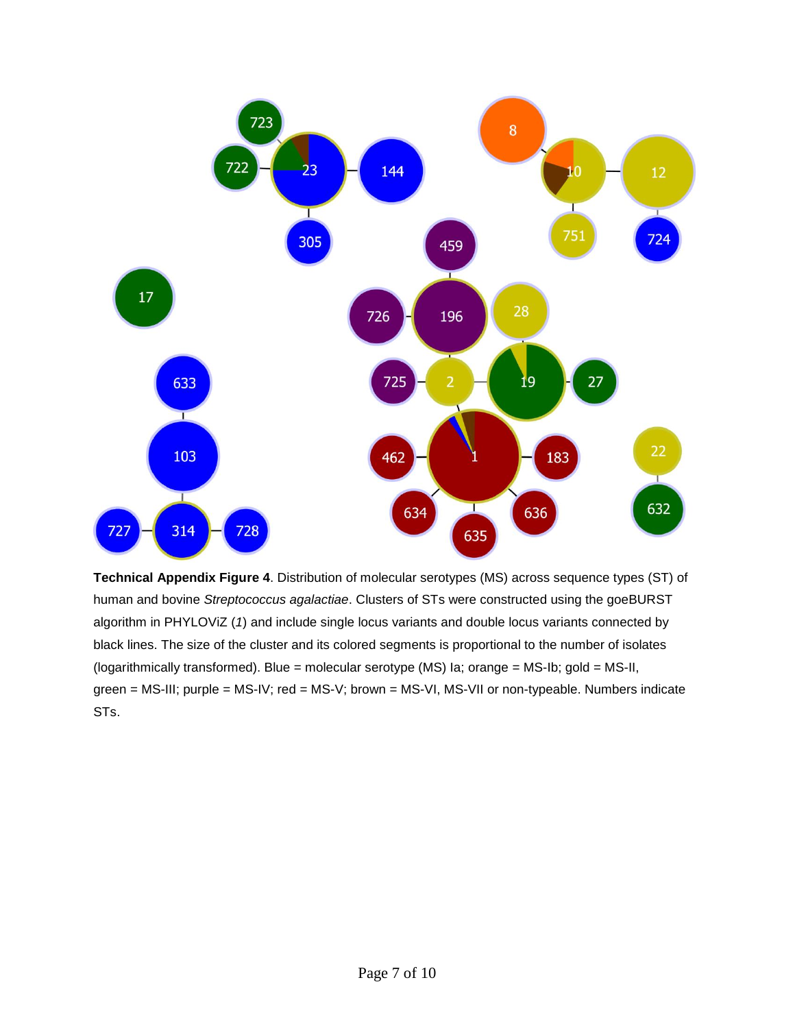

**Technical Appendix Figure 4**. Distribution of molecular serotypes (MS) across sequence types (ST) of human and bovine *Streptococcus agalactiae*. Clusters of STs were constructed using the goeBURST algorithm in PHYLOViZ (*1*) and include single locus variants and double locus variants connected by black lines. The size of the cluster and its colored segments is proportional to the number of isolates (logarithmically transformed). Blue = molecular serotype (MS) Ia; orange = MS-Ib; gold = MS-II, green = MS-III; purple = MS-IV; red = MS-V; brown = MS-VI, MS-VII or non-typeable. Numbers indicate STs.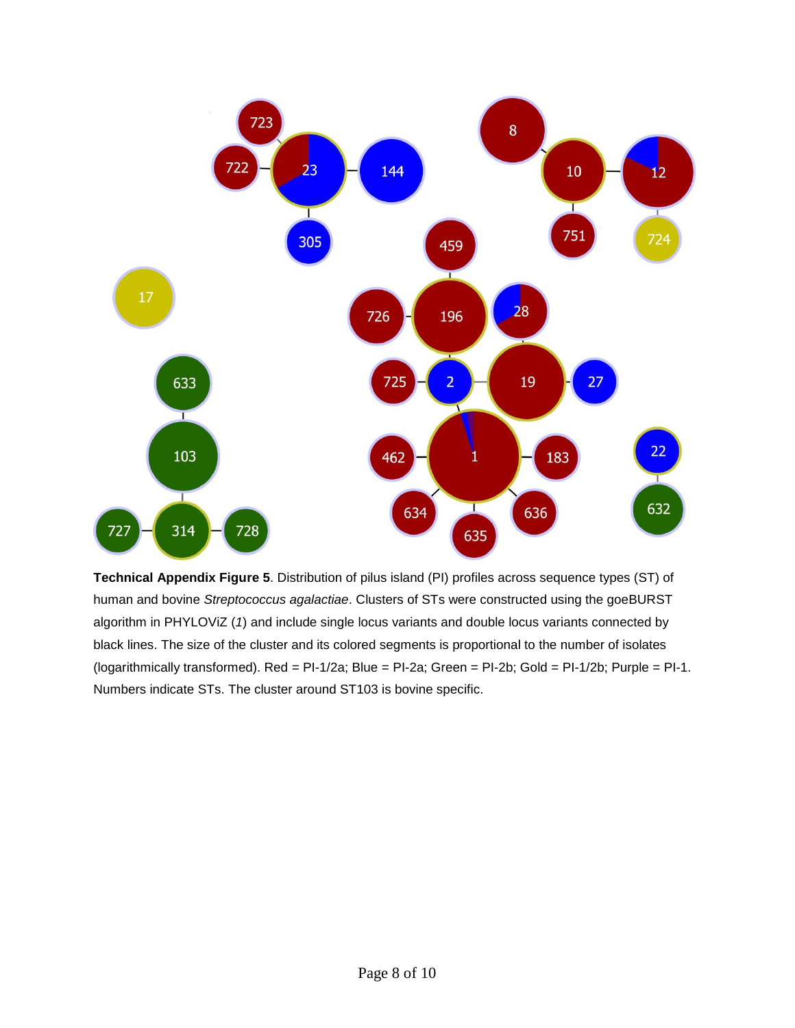

**Technical Appendix Figure 5**. Distribution of pilus island (PI) profiles across sequence types (ST) of human and bovine *Streptococcus agalactiae*. Clusters of STs were constructed using the goeBURST algorithm in PHYLOViZ (*1*) and include single locus variants and double locus variants connected by black lines. The size of the cluster and its colored segments is proportional to the number of isolates (logarithmically transformed). Red = PI-1/2a; Blue = PI-2a; Green = PI-2b; Gold = PI-1/2b; Purple = PI-1. Numbers indicate STs. The cluster around ST103 is bovine specific.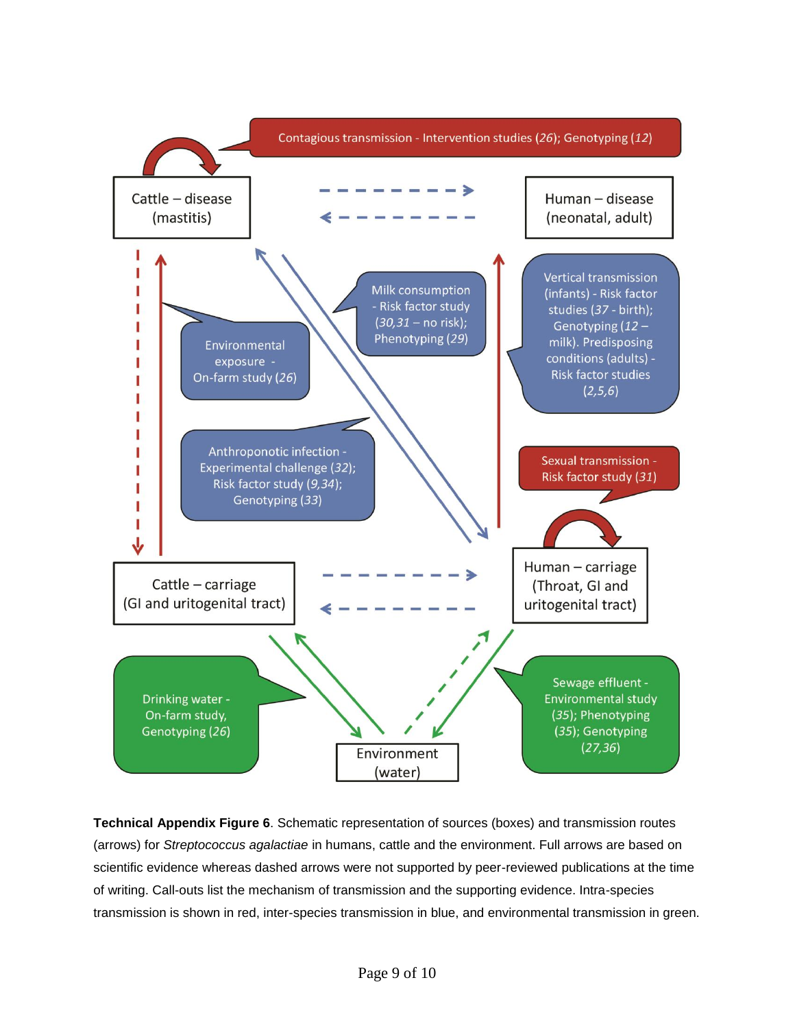

**Technical Appendix Figure 6**. Schematic representation of sources (boxes) and transmission routes (arrows) for *Streptococcus agalactiae* in humans, cattle and the environment. Full arrows are based on scientific evidence whereas dashed arrows were not supported by peer-reviewed publications at the time of writing. Call-outs list the mechanism of transmission and the supporting evidence. Intra-species transmission is shown in red, inter-species transmission in blue, and environmental transmission in green.